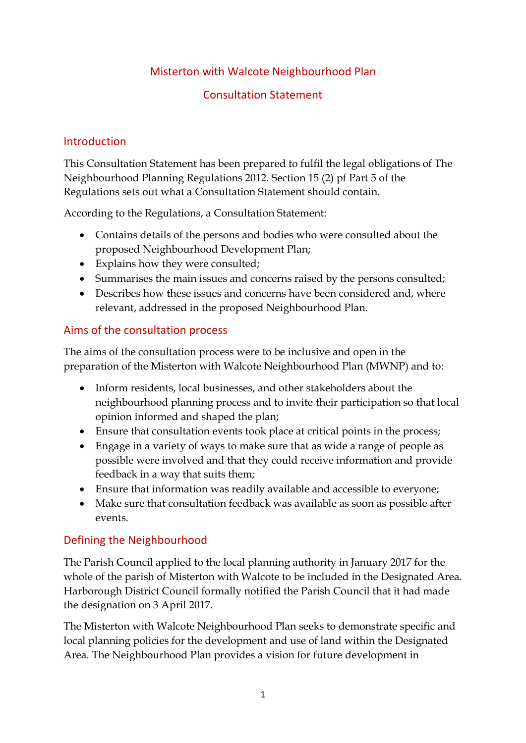## Misterton with Walcote Neighbourhood Plan

## Consultation Statement

## **Introduction**

This Consultation Statement has been prepared to fulfil the legal obligations of The Neighbourhood Planning Regulations 2012. Section 15 (2) pf Part 5 of the Regulations sets out what a Consultation Statement should contain.

According to the Regulations, a Consultation Statement:

- Contains details of the persons and bodies who were consulted about the proposed Neighbourhood Development Plan;
- Explains how they were consulted;
- Summarises the main issues and concerns raised by the persons consulted;
- Describes how these issues and concerns have been considered and, where relevant, addressed in the proposed Neighbourhood Plan.

## Aims of the consultation process

The aims of the consultation process were to be inclusive and open in the preparation of the Misterton with Walcote Neighbourhood Plan (MWNP) and to:

- Inform residents, local businesses, and other stakeholders about the neighbourhood planning process and to invite their participation so that local opinion informed and shaped the plan;
- Ensure that consultation events took place at critical points in the process;
- Engage in a variety of ways to make sure that as wide a range of people as possible were involved and that they could receive information and provide feedback in a way that suits them;
- Ensure that information was readily available and accessible to everyone;
- Make sure that consultation feedback was available as soon as possible after events.

# Defining the Neighbourhood

The Parish Council applied to the local planning authority in January 2017 for the whole of the parish of Misterton with Walcote to be included in the Designated Area. Harborough District Council formally notified the Parish Council that it had made the designation on 3 April 2017.

The Misterton with Walcote Neighbourhood Plan seeks to demonstrate specific and local planning policies for the development and use of land within the Designated Area. The Neighbourhood Plan provides a vision for future development in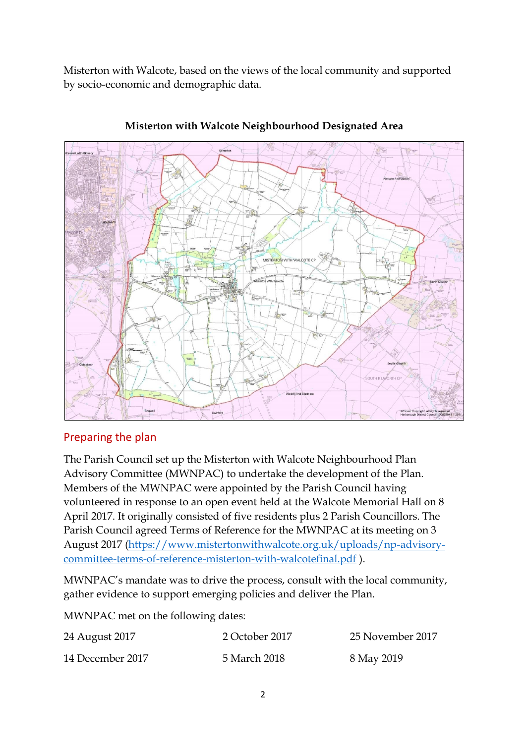Misterton with Walcote, based on the views of the local community and supported by socio-economic and demographic data.



**Misterton with Walcote Neighbourhood Designated Area**

## Preparing the plan

The Parish Council set up the Misterton with Walcote Neighbourhood Plan Advisory Committee (MWNPAC) to undertake the development of the Plan. Members of the MWNPAC were appointed by the Parish Council having volunteered in response to an open event held at the Walcote Memorial Hall on 8 April 2017. It originally consisted of five residents plus 2 Parish Councillors. The Parish Council agreed Terms of Reference for the MWNPAC at its meeting on 3 August 2017 [\(https://www.mistertonwithwalcote.org.uk/uploads/np-advisory](https://www.mistertonwithwalcote.org.uk/uploads/np-advisory-committee-terms-of-reference-misterton-with-walcotefinal.pdf)[committee-terms-of-reference-misterton-with-walcotefinal.pdf](https://www.mistertonwithwalcote.org.uk/uploads/np-advisory-committee-terms-of-reference-misterton-with-walcotefinal.pdf) ).

MWNPAC's mandate was to drive the process, consult with the local community, gather evidence to support emerging policies and deliver the Plan.

MWNPAC met on the following dates:

| 24 August 2017   | 2 October 2017 | 25 November 2017 |
|------------------|----------------|------------------|
| 14 December 2017 | 5 March 2018   | 8 May 2019       |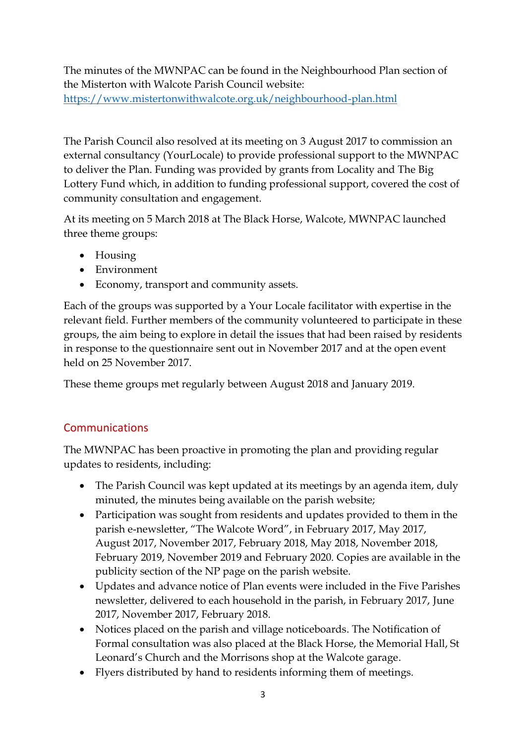The minutes of the MWNPAC can be found in the Neighbourhood Plan section of the Misterton with Walcote Parish Council website: <https://www.mistertonwithwalcote.org.uk/neighbourhood-plan.html>

The Parish Council also resolved at its meeting on 3 August 2017 to commission an external consultancy (YourLocale) to provide professional support to the MWNPAC to deliver the Plan. Funding was provided by grants from Locality and The Big Lottery Fund which, in addition to funding professional support, covered the cost of community consultation and engagement.

At its meeting on 5 March 2018 at The Black Horse, Walcote, MWNPAC launched three theme groups:

- Housing
- Environment
- Economy, transport and community assets.

Each of the groups was supported by a Your Locale facilitator with expertise in the relevant field. Further members of the community volunteered to participate in these groups, the aim being to explore in detail the issues that had been raised by residents in response to the questionnaire sent out in November 2017 and at the open event held on 25 November 2017.

These theme groups met regularly between August 2018 and January 2019.

# Communications

The MWNPAC has been proactive in promoting the plan and providing regular updates to residents, including:

- The Parish Council was kept updated at its meetings by an agenda item, duly minuted, the minutes being available on the parish website;
- Participation was sought from residents and updates provided to them in the parish e-newsletter, "The Walcote Word", in February 2017, May 2017, August 2017, November 2017, February 2018, May 2018, November 2018, February 2019, November 2019 and February 2020. Copies are available in the publicity section of the NP page on the parish website.
- Updates and advance notice of Plan events were included in the Five Parishes newsletter, delivered to each household in the parish, in February 2017, June 2017, November 2017, February 2018.
- Notices placed on the parish and village noticeboards. The Notification of Formal consultation was also placed at the Black Horse, the Memorial Hall, St Leonard's Church and the Morrisons shop at the Walcote garage.
- Flyers distributed by hand to residents informing them of meetings.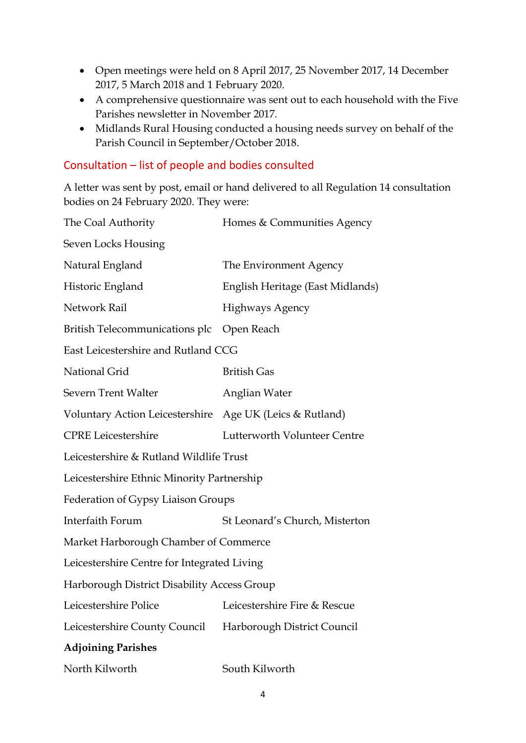- Open meetings were held on 8 April 2017, 25 November 2017, 14 December 2017, 5 March 2018 and 1 February 2020.
- A comprehensive questionnaire was sent out to each household with the Five Parishes newsletter in November 2017.
- Midlands Rural Housing conducted a housing needs survey on behalf of the Parish Council in September/October 2018.

## Consultation – list of people and bodies consulted

A letter was sent by post, email or hand delivered to all Regulation 14 consultation bodies on 24 February 2020. They were:

| The Coal Authority                                       | Homes & Communities Agency       |
|----------------------------------------------------------|----------------------------------|
| Seven Locks Housing                                      |                                  |
| Natural England                                          | The Environment Agency           |
| Historic England                                         | English Heritage (East Midlands) |
| Network Rail                                             | <b>Highways Agency</b>           |
| British Telecommunications plc                           | Open Reach                       |
| East Leicestershire and Rutland CCG                      |                                  |
| National Grid                                            | <b>British Gas</b>               |
| <b>Severn Trent Walter</b>                               | Anglian Water                    |
| Voluntary Action Leicestershire Age UK (Leics & Rutland) |                                  |
| <b>CPRE</b> Leicestershire                               | Lutterworth Volunteer Centre     |
| Leicestershire & Rutland Wildlife Trust                  |                                  |
| Leicestershire Ethnic Minority Partnership               |                                  |
| Federation of Gypsy Liaison Groups                       |                                  |
| Interfaith Forum                                         | St Leonard's Church, Misterton   |
| Market Harborough Chamber of Commerce                    |                                  |
| Leicestershire Centre for Integrated Living              |                                  |
| Harborough District Disability Access Group              |                                  |
| Leicestershire Police                                    | Leicestershire Fire & Rescue     |
| Leicestershire County Council                            | Harborough District Council      |
| <b>Adjoining Parishes</b>                                |                                  |
| North Kilworth                                           | South Kilworth                   |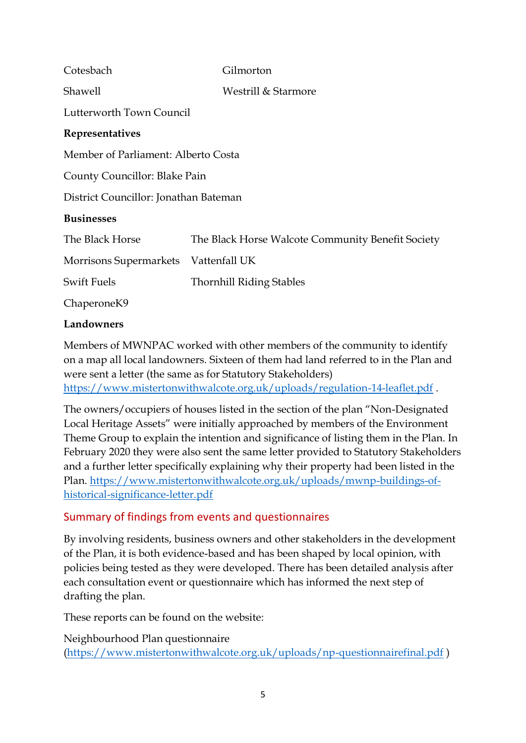| Cotesbach                             | Gilmorton                                         |  |  |  |  |  |  |
|---------------------------------------|---------------------------------------------------|--|--|--|--|--|--|
| Shawell                               | Westrill & Starmore                               |  |  |  |  |  |  |
| Lutterworth Town Council              |                                                   |  |  |  |  |  |  |
| Representatives                       |                                                   |  |  |  |  |  |  |
| Member of Parliament: Alberto Costa   |                                                   |  |  |  |  |  |  |
| County Councillor: Blake Pain         |                                                   |  |  |  |  |  |  |
| District Councillor: Jonathan Bateman |                                                   |  |  |  |  |  |  |
| <b>Businesses</b>                     |                                                   |  |  |  |  |  |  |
| The Black Horse                       | The Black Horse Walcote Community Benefit Society |  |  |  |  |  |  |
| Morrisons Supermarkets                | Vattenfall UK                                     |  |  |  |  |  |  |
| <b>Swift Fuels</b>                    | <b>Thornhill Riding Stables</b>                   |  |  |  |  |  |  |
| Chaperone <sub>K9</sub>               |                                                   |  |  |  |  |  |  |
|                                       |                                                   |  |  |  |  |  |  |

#### **Landowners**

Members of MWNPAC worked with other members of the community to identify on a map all local landowners. Sixteen of them had land referred to in the Plan and were sent a letter (the same as for Statutory Stakeholders) <https://www.mistertonwithwalcote.org.uk/uploads/regulation-14-leaflet.pdf> .

The owners/occupiers of houses listed in the section of the plan "Non-Designated Local Heritage Assets" were initially approached by members of the Environment Theme Group to explain the intention and significance of listing them in the Plan. In February 2020 they were also sent the same letter provided to Statutory Stakeholders and a further letter specifically explaining why their property had been listed in the Plan. [https://www.mistertonwithwalcote.org.uk/uploads/mwnp-buildings-of](https://www.mistertonwithwalcote.org.uk/uploads/mwnp-buildings-of-historical-significance-letter.pdf)[historical-significance-letter.pdf](https://www.mistertonwithwalcote.org.uk/uploads/mwnp-buildings-of-historical-significance-letter.pdf)

## Summary of findings from events and questionnaires

By involving residents, business owners and other stakeholders in the development of the Plan, it is both evidence-based and has been shaped by local opinion, with policies being tested as they were developed. There has been detailed analysis after each consultation event or questionnaire which has informed the next step of drafting the plan.

These reports can be found on the website:

Neighbourhood Plan questionnaire [\(https://www.mistertonwithwalcote.org.uk/uploads/np-questionnairefinal.pdf](https://www.mistertonwithwalcote.org.uk/uploads/np-questionnairefinal.pdf) )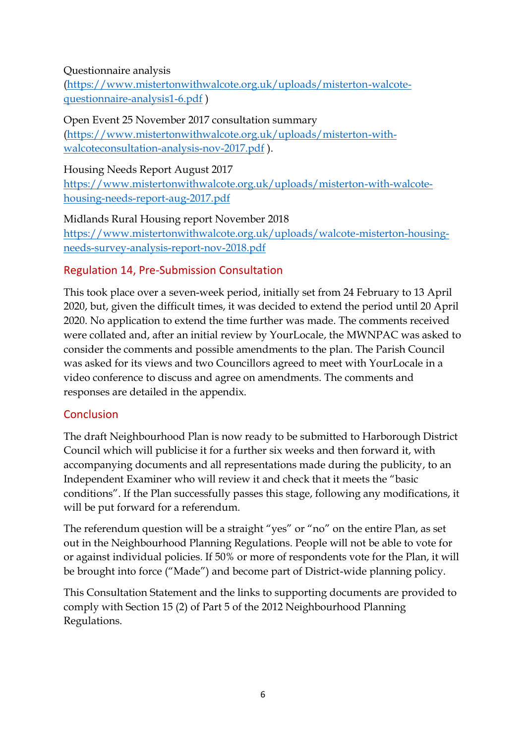### Questionnaire analysis

[\(https://www.mistertonwithwalcote.org.uk/uploads/misterton-walcote](https://www.mistertonwithwalcote.org.uk/uploads/misterton-walcote-questionnaire-analysis1-6.pdf)[questionnaire-analysis1-6.pdf](https://www.mistertonwithwalcote.org.uk/uploads/misterton-walcote-questionnaire-analysis1-6.pdf) )

Open Event 25 November 2017 consultation summary [\(https://www.mistertonwithwalcote.org.uk/uploads/misterton-with](https://www.mistertonwithwalcote.org.uk/uploads/misterton-with-walcoteconsultation-analysis-nov-2017.pdf)[walcoteconsultation-analysis-nov-2017.pdf](https://www.mistertonwithwalcote.org.uk/uploads/misterton-with-walcoteconsultation-analysis-nov-2017.pdf) ).

#### Housing Needs Report August 2017

[https://www.mistertonwithwalcote.org.uk/uploads/misterton-with-walcote](https://www.mistertonwithwalcote.org.uk/uploads/misterton-with-walcote-housing-needs-report-aug-2017.pdf)[housing-needs-report-aug-2017.pdf](https://www.mistertonwithwalcote.org.uk/uploads/misterton-with-walcote-housing-needs-report-aug-2017.pdf)

Midlands Rural Housing report November 2018 [https://www.mistertonwithwalcote.org.uk/uploads/walcote-misterton-housing](https://www.mistertonwithwalcote.org.uk/uploads/walcote-misterton-housing-needs-survey-analysis-report-nov-2018.pdf)[needs-survey-analysis-report-nov-2018.pdf](https://www.mistertonwithwalcote.org.uk/uploads/walcote-misterton-housing-needs-survey-analysis-report-nov-2018.pdf)

## Regulation 14, Pre-Submission Consultation

This took place over a seven-week period, initially set from 24 February to 13 April 2020, but, given the difficult times, it was decided to extend the period until 20 April 2020. No application to extend the time further was made. The comments received were collated and, after an initial review by YourLocale, the MWNPAC was asked to consider the comments and possible amendments to the plan. The Parish Council was asked for its views and two Councillors agreed to meet with YourLocale in a video conference to discuss and agree on amendments. The comments and responses are detailed in the appendix.

## Conclusion

The draft Neighbourhood Plan is now ready to be submitted to Harborough District Council which will publicise it for a further six weeks and then forward it, with accompanying documents and all representations made during the publicity, to an Independent Examiner who will review it and check that it meets the "basic conditions". If the Plan successfully passes this stage, following any modifications, it will be put forward for a referendum.

The referendum question will be a straight "yes" or "no" on the entire Plan, as set out in the Neighbourhood Planning Regulations. People will not be able to vote for or against individual policies. If 50% or more of respondents vote for the Plan, it will be brought into force ("Made") and become part of District-wide planning policy.

This Consultation Statement and the links to supporting documents are provided to comply with Section 15 (2) of Part 5 of the 2012 Neighbourhood Planning Regulations.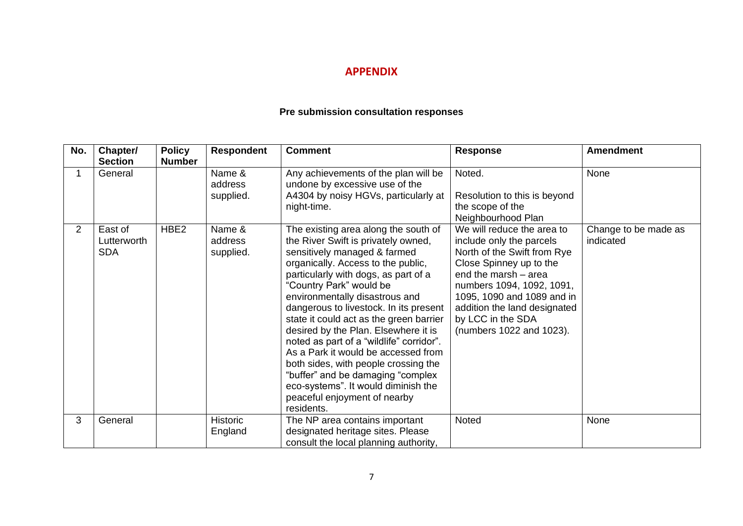#### **APPENDIX**

### **Pre submission consultation responses**

| No. | Chapter/<br><b>Section</b>           | <b>Policy</b><br><b>Number</b> | <b>Respondent</b>              | <b>Comment</b>                                                                                                                                                                                                                                                                                                                                                                                                                                                                                                                                                                                                                           | <b>Response</b>                                                                                                                                                                                                                                                                      | <b>Amendment</b>                  |
|-----|--------------------------------------|--------------------------------|--------------------------------|------------------------------------------------------------------------------------------------------------------------------------------------------------------------------------------------------------------------------------------------------------------------------------------------------------------------------------------------------------------------------------------------------------------------------------------------------------------------------------------------------------------------------------------------------------------------------------------------------------------------------------------|--------------------------------------------------------------------------------------------------------------------------------------------------------------------------------------------------------------------------------------------------------------------------------------|-----------------------------------|
|     | General                              |                                | Name &<br>address<br>supplied. | Any achievements of the plan will be<br>undone by excessive use of the<br>A4304 by noisy HGVs, particularly at<br>night-time.                                                                                                                                                                                                                                                                                                                                                                                                                                                                                                            | Noted.<br>Resolution to this is beyond<br>the scope of the<br>Neighbourhood Plan                                                                                                                                                                                                     | None                              |
| 2   | East of<br>Lutterworth<br><b>SDA</b> | HBE <sub>2</sub>               | Name &<br>address<br>supplied. | The existing area along the south of<br>the River Swift is privately owned,<br>sensitively managed & farmed<br>organically. Access to the public,<br>particularly with dogs, as part of a<br>"Country Park" would be<br>environmentally disastrous and<br>dangerous to livestock. In its present<br>state it could act as the green barrier<br>desired by the Plan. Elsewhere it is<br>noted as part of a "wildlife" corridor".<br>As a Park it would be accessed from<br>both sides, with people crossing the<br>"buffer" and be damaging "complex<br>eco-systems". It would diminish the<br>peaceful enjoyment of nearby<br>residents. | We will reduce the area to<br>include only the parcels<br>North of the Swift from Rye<br>Close Spinney up to the<br>end the marsh - area<br>numbers 1094, 1092, 1091,<br>1095, 1090 and 1089 and in<br>addition the land designated<br>by LCC in the SDA<br>(numbers 1022 and 1023). | Change to be made as<br>indicated |
| 3   | General                              |                                | <b>Historic</b><br>England     | The NP area contains important<br>designated heritage sites. Please<br>consult the local planning authority,                                                                                                                                                                                                                                                                                                                                                                                                                                                                                                                             | Noted                                                                                                                                                                                                                                                                                | None                              |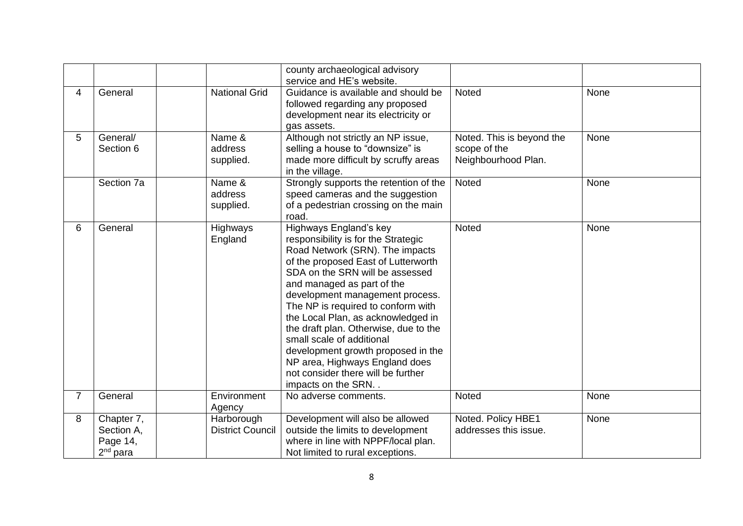|                |                                                    |                                       | county archaeological advisory<br>service and HE's website.                                                                                                                                                                                                                                                                                                                                                                                                                                                                        |                                                                  |      |
|----------------|----------------------------------------------------|---------------------------------------|------------------------------------------------------------------------------------------------------------------------------------------------------------------------------------------------------------------------------------------------------------------------------------------------------------------------------------------------------------------------------------------------------------------------------------------------------------------------------------------------------------------------------------|------------------------------------------------------------------|------|
| 4              | General                                            | <b>National Grid</b>                  | Guidance is available and should be<br>followed regarding any proposed<br>development near its electricity or<br>gas assets.                                                                                                                                                                                                                                                                                                                                                                                                       | <b>Noted</b>                                                     | None |
| 5              | General/<br>Section 6                              | Name &<br>address<br>supplied.        | Although not strictly an NP issue,<br>selling a house to "downsize" is<br>made more difficult by scruffy areas<br>in the village.                                                                                                                                                                                                                                                                                                                                                                                                  | Noted. This is beyond the<br>scope of the<br>Neighbourhood Plan. | None |
|                | Section 7a                                         | Name &<br>address<br>supplied.        | Strongly supports the retention of the<br>speed cameras and the suggestion<br>of a pedestrian crossing on the main<br>road.                                                                                                                                                                                                                                                                                                                                                                                                        | Noted                                                            | None |
| 6              | General                                            | Highways<br>England                   | Highways England's key<br>responsibility is for the Strategic<br>Road Network (SRN). The impacts<br>of the proposed East of Lutterworth<br>SDA on the SRN will be assessed<br>and managed as part of the<br>development management process.<br>The NP is required to conform with<br>the Local Plan, as acknowledged in<br>the draft plan. Otherwise, due to the<br>small scale of additional<br>development growth proposed in the<br>NP area, Highways England does<br>not consider there will be further<br>impacts on the SRN. | Noted                                                            | None |
| $\overline{7}$ | General                                            | Environment<br>Agency                 | No adverse comments.                                                                                                                                                                                                                                                                                                                                                                                                                                                                                                               | Noted                                                            | None |
| 8              | Chapter 7,<br>Section A,<br>Page 14,<br>$2nd$ para | Harborough<br><b>District Council</b> | Development will also be allowed<br>outside the limits to development<br>where in line with NPPF/local plan.<br>Not limited to rural exceptions.                                                                                                                                                                                                                                                                                                                                                                                   | Noted. Policy HBE1<br>addresses this issue.                      | None |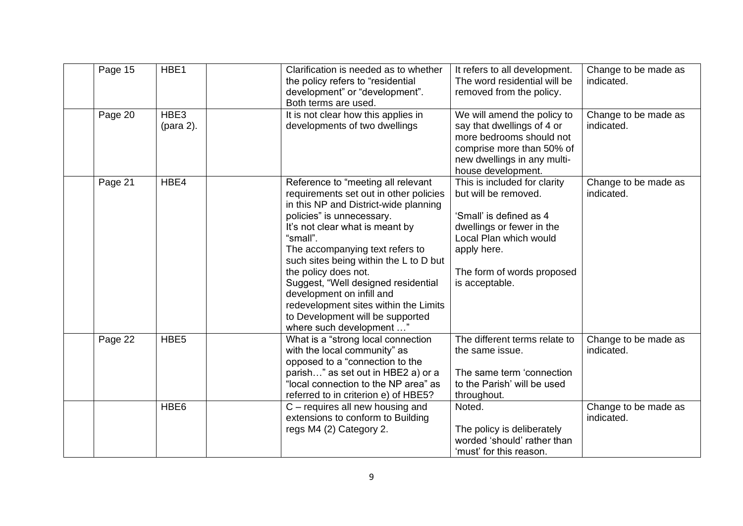| Page 15 | HBE1              | Clarification is needed as to whether<br>the policy refers to "residential<br>development" or "development".<br>Both terms are used.                                                                                                                                                                                                                                                                                                                                                | It refers to all development.<br>The word residential will be<br>removed from the policy.                                                                                                             | Change to be made as<br>indicated. |
|---------|-------------------|-------------------------------------------------------------------------------------------------------------------------------------------------------------------------------------------------------------------------------------------------------------------------------------------------------------------------------------------------------------------------------------------------------------------------------------------------------------------------------------|-------------------------------------------------------------------------------------------------------------------------------------------------------------------------------------------------------|------------------------------------|
| Page 20 | HBE3<br>(para 2). | It is not clear how this applies in<br>developments of two dwellings                                                                                                                                                                                                                                                                                                                                                                                                                | We will amend the policy to<br>say that dwellings of 4 or<br>more bedrooms should not<br>comprise more than 50% of<br>new dwellings in any multi-<br>house development.                               | Change to be made as<br>indicated. |
| Page 21 | HBE4              | Reference to "meeting all relevant<br>requirements set out in other policies<br>in this NP and District-wide planning<br>policies" is unnecessary.<br>It's not clear what is meant by<br>"small".<br>The accompanying text refers to<br>such sites being within the L to D but<br>the policy does not.<br>Suggest, "Well designed residential<br>development on infill and<br>redevelopment sites within the Limits<br>to Development will be supported<br>where such development ' | This is included for clarity<br>but will be removed.<br>'Small' is defined as 4<br>dwellings or fewer in the<br>Local Plan which would<br>apply here.<br>The form of words proposed<br>is acceptable. | Change to be made as<br>indicated. |
| Page 22 | HBE <sub>5</sub>  | What is a "strong local connection<br>with the local community" as<br>opposed to a "connection to the<br>parish" as set out in HBE2 a) or a<br>"local connection to the NP area" as<br>referred to in criterion e) of HBE5?                                                                                                                                                                                                                                                         | The different terms relate to<br>the same issue.<br>The same term 'connection<br>to the Parish' will be used<br>throughout.                                                                           | Change to be made as<br>indicated. |
|         | HBE <sub>6</sub>  | C – requires all new housing and<br>extensions to conform to Building<br>regs M4 (2) Category 2.                                                                                                                                                                                                                                                                                                                                                                                    | Noted.<br>The policy is deliberately<br>worded 'should' rather than<br>'must' for this reason.                                                                                                        | Change to be made as<br>indicated. |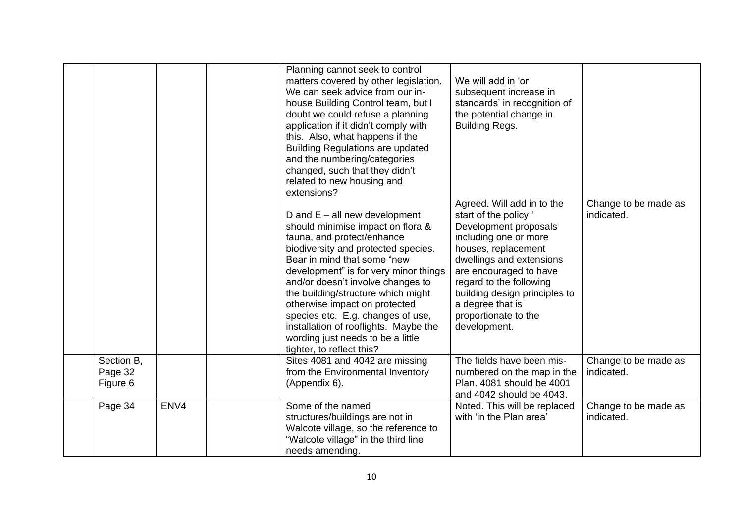|                                   |      | Planning cannot seek to control<br>matters covered by other legislation.<br>We can seek advice from our in-<br>house Building Control team, but I<br>doubt we could refuse a planning<br>application if it didn't comply with<br>this. Also, what happens if the<br><b>Building Regulations are updated</b><br>and the numbering/categories<br>changed, such that they didn't<br>related to new housing and<br>extensions?<br>D and $E - all$ new development<br>should minimise impact on flora &<br>fauna, and protect/enhance<br>biodiversity and protected species.<br>Bear in mind that some "new<br>development" is for very minor things<br>and/or doesn't involve changes to<br>the building/structure which might<br>otherwise impact on protected<br>species etc. E.g. changes of use,<br>installation of rooflights. Maybe the<br>wording just needs to be a little<br>tighter, to reflect this? | We will add in 'or<br>subsequent increase in<br>standards' in recognition of<br>the potential change in<br>Building Regs.<br>Agreed. Will add in to the<br>start of the policy '<br>Development proposals<br>including one or more<br>houses, replacement<br>dwellings and extensions<br>are encouraged to have<br>regard to the following<br>building design principles to<br>a degree that is<br>proportionate to the<br>development. | Change to be made as<br>indicated. |
|-----------------------------------|------|-------------------------------------------------------------------------------------------------------------------------------------------------------------------------------------------------------------------------------------------------------------------------------------------------------------------------------------------------------------------------------------------------------------------------------------------------------------------------------------------------------------------------------------------------------------------------------------------------------------------------------------------------------------------------------------------------------------------------------------------------------------------------------------------------------------------------------------------------------------------------------------------------------------|-----------------------------------------------------------------------------------------------------------------------------------------------------------------------------------------------------------------------------------------------------------------------------------------------------------------------------------------------------------------------------------------------------------------------------------------|------------------------------------|
| Section B,<br>Page 32<br>Figure 6 |      | Sites 4081 and 4042 are missing<br>from the Environmental Inventory<br>(Appendix 6).                                                                                                                                                                                                                                                                                                                                                                                                                                                                                                                                                                                                                                                                                                                                                                                                                        | The fields have been mis-<br>numbered on the map in the<br>Plan. 4081 should be 4001<br>and 4042 should be 4043.                                                                                                                                                                                                                                                                                                                        | Change to be made as<br>indicated. |
| Page 34                           | ENV4 | Some of the named<br>structures/buildings are not in<br>Walcote village, so the reference to<br>"Walcote village" in the third line<br>needs amending.                                                                                                                                                                                                                                                                                                                                                                                                                                                                                                                                                                                                                                                                                                                                                      | Noted. This will be replaced<br>with 'in the Plan area'                                                                                                                                                                                                                                                                                                                                                                                 | Change to be made as<br>indicated. |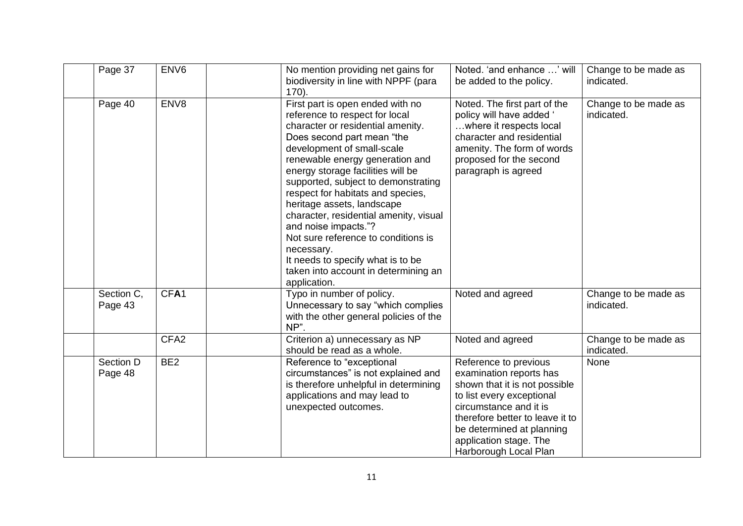| Page 37               | ENV <sub>6</sub> | No mention providing net gains for<br>biodiversity in line with NPPF (para<br>$170$ ).                                                                                                                                                                                                                                                                                                                                                                                                                                                                                    | Noted. 'and enhance ' will<br>be added to the policy.                                                                                                                                                                                                       | Change to be made as<br>indicated. |
|-----------------------|------------------|---------------------------------------------------------------------------------------------------------------------------------------------------------------------------------------------------------------------------------------------------------------------------------------------------------------------------------------------------------------------------------------------------------------------------------------------------------------------------------------------------------------------------------------------------------------------------|-------------------------------------------------------------------------------------------------------------------------------------------------------------------------------------------------------------------------------------------------------------|------------------------------------|
| Page 40               | ENV8             | First part is open ended with no<br>reference to respect for local<br>character or residential amenity.<br>Does second part mean "the<br>development of small-scale<br>renewable energy generation and<br>energy storage facilities will be<br>supported, subject to demonstrating<br>respect for habitats and species,<br>heritage assets, landscape<br>character, residential amenity, visual<br>and noise impacts."?<br>Not sure reference to conditions is<br>necessary.<br>It needs to specify what is to be<br>taken into account in determining an<br>application. | Noted. The first part of the<br>policy will have added '<br>where it respects local<br>character and residential<br>amenity. The form of words<br>proposed for the second<br>paragraph is agreed                                                            | Change to be made as<br>indicated. |
| Section C,<br>Page 43 | CFA <sub>1</sub> | Typo in number of policy.<br>Unnecessary to say "which complies<br>with the other general policies of the<br>NP".                                                                                                                                                                                                                                                                                                                                                                                                                                                         | Noted and agreed                                                                                                                                                                                                                                            | Change to be made as<br>indicated. |
|                       | CFA <sub>2</sub> | Criterion a) unnecessary as NP<br>should be read as a whole.                                                                                                                                                                                                                                                                                                                                                                                                                                                                                                              | Noted and agreed                                                                                                                                                                                                                                            | Change to be made as<br>indicated. |
| Section D<br>Page 48  | BE <sub>2</sub>  | Reference to "exceptional<br>circumstances" is not explained and<br>is therefore unhelpful in determining<br>applications and may lead to<br>unexpected outcomes.                                                                                                                                                                                                                                                                                                                                                                                                         | Reference to previous<br>examination reports has<br>shown that it is not possible<br>to list every exceptional<br>circumstance and it is<br>therefore better to leave it to<br>be determined at planning<br>application stage. The<br>Harborough Local Plan | None                               |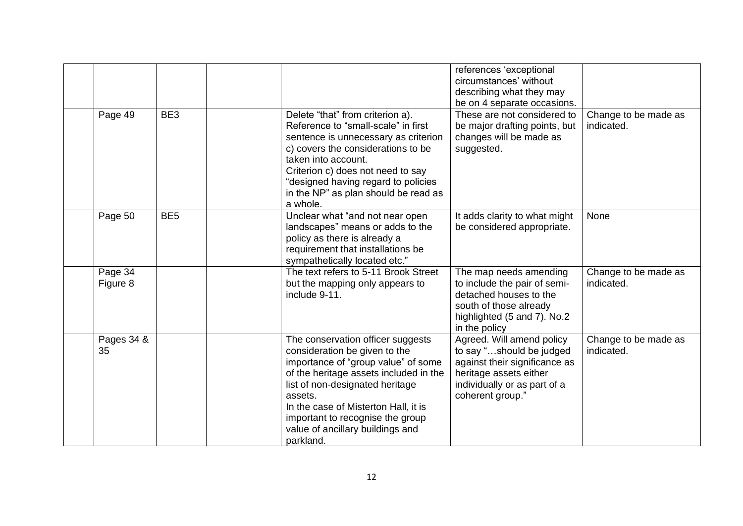|                     |                 |                                                                                                                                                                                                                                                                                                                                | references 'exceptional<br>circumstances' without<br>describing what they may<br>be on 4 separate occasions.                                                         |                                    |
|---------------------|-----------------|--------------------------------------------------------------------------------------------------------------------------------------------------------------------------------------------------------------------------------------------------------------------------------------------------------------------------------|----------------------------------------------------------------------------------------------------------------------------------------------------------------------|------------------------------------|
| Page 49             | BE3             | Delete "that" from criterion a).<br>Reference to "small-scale" in first<br>sentence is unnecessary as criterion<br>c) covers the considerations to be<br>taken into account.<br>Criterion c) does not need to say<br>"designed having regard to policies<br>in the NP" as plan should be read as<br>a whole.                   | These are not considered to<br>be major drafting points, but<br>changes will be made as<br>suggested.                                                                | Change to be made as<br>indicated. |
| Page 50             | BE <sub>5</sub> | Unclear what "and not near open<br>landscapes" means or adds to the<br>policy as there is already a<br>requirement that installations be<br>sympathetically located etc."                                                                                                                                                      | It adds clarity to what might<br>be considered appropriate.                                                                                                          | None                               |
| Page 34<br>Figure 8 |                 | The text refers to 5-11 Brook Street<br>but the mapping only appears to<br>include 9-11.                                                                                                                                                                                                                                       | The map needs amending<br>to include the pair of semi-<br>detached houses to the<br>south of those already<br>highlighted (5 and 7). No.2<br>in the policy           | Change to be made as<br>indicated. |
| Pages 34 &<br>35    |                 | The conservation officer suggests<br>consideration be given to the<br>importance of "group value" of some<br>of the heritage assets included in the<br>list of non-designated heritage<br>assets.<br>In the case of Misterton Hall, it is<br>important to recognise the group<br>value of ancillary buildings and<br>parkland. | Agreed. Will amend policy<br>to say "should be judged<br>against their significance as<br>heritage assets either<br>individually or as part of a<br>coherent group." | Change to be made as<br>indicated. |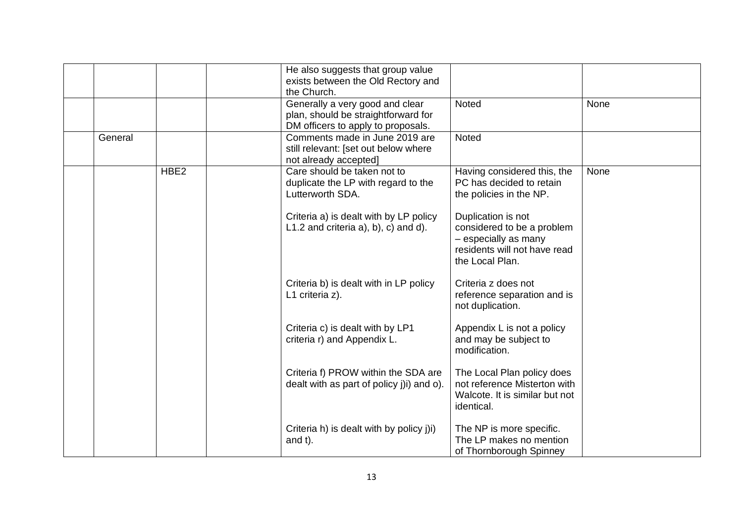|         |                  | He also suggests that group value<br>exists between the Old Rectory and<br>the Church.                       |                                                                                                                             |      |
|---------|------------------|--------------------------------------------------------------------------------------------------------------|-----------------------------------------------------------------------------------------------------------------------------|------|
|         |                  | Generally a very good and clear<br>plan, should be straightforward for<br>DM officers to apply to proposals. | <b>Noted</b>                                                                                                                | None |
| General |                  | Comments made in June 2019 are<br>still relevant: [set out below where<br>not already accepted]              | Noted                                                                                                                       |      |
|         | HBE <sub>2</sub> | Care should be taken not to<br>duplicate the LP with regard to the<br>Lutterworth SDA.                       | Having considered this, the<br>PC has decided to retain<br>the policies in the NP.                                          | None |
|         |                  | Criteria a) is dealt with by LP policy<br>$L1.2$ and criteria a), b), c) and d).                             | Duplication is not<br>considered to be a problem<br>- especially as many<br>residents will not have read<br>the Local Plan. |      |
|         |                  | Criteria b) is dealt with in LP policy<br>L1 criteria z).                                                    | Criteria z does not<br>reference separation and is<br>not duplication.                                                      |      |
|         |                  | Criteria c) is dealt with by LP1<br>criteria r) and Appendix L.                                              | Appendix L is not a policy<br>and may be subject to<br>modification.                                                        |      |
|         |                  | Criteria f) PROW within the SDA are<br>dealt with as part of policy (ii) and o).                             | The Local Plan policy does<br>not reference Misterton with<br>Walcote. It is similar but not<br>identical.                  |      |
|         |                  | Criteria h) is dealt with by policy j)i)<br>and t).                                                          | The NP is more specific.<br>The LP makes no mention<br>of Thornborough Spinney                                              |      |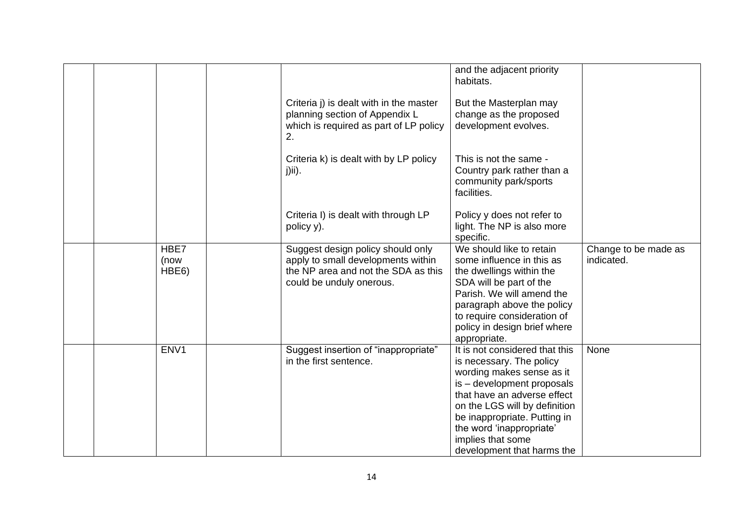|  |                       |                                                                                                                                            | and the adjacent priority<br>habitats.                                                                                                                                                                                                                                                               |                                    |
|--|-----------------------|--------------------------------------------------------------------------------------------------------------------------------------------|------------------------------------------------------------------------------------------------------------------------------------------------------------------------------------------------------------------------------------------------------------------------------------------------------|------------------------------------|
|  |                       | Criteria j) is dealt with in the master<br>planning section of Appendix L<br>which is required as part of LP policy<br>2.                  | But the Masterplan may<br>change as the proposed<br>development evolves.                                                                                                                                                                                                                             |                                    |
|  |                       | Criteria k) is dealt with by LP policy<br>$j)$ ii).                                                                                        | This is not the same -<br>Country park rather than a<br>community park/sports<br>facilities.                                                                                                                                                                                                         |                                    |
|  |                       | Criteria I) is dealt with through LP<br>policy y).                                                                                         | Policy y does not refer to<br>light. The NP is also more<br>specific.                                                                                                                                                                                                                                |                                    |
|  | HBE7<br>(now<br>HBE6) | Suggest design policy should only<br>apply to small developments within<br>the NP area and not the SDA as this<br>could be unduly onerous. | We should like to retain<br>some influence in this as<br>the dwellings within the<br>SDA will be part of the<br>Parish. We will amend the<br>paragraph above the policy<br>to require consideration of<br>policy in design brief where<br>appropriate.                                               | Change to be made as<br>indicated. |
|  | ENV1                  | Suggest insertion of "inappropriate"<br>in the first sentence.                                                                             | It is not considered that this<br>is necessary. The policy<br>wording makes sense as it<br>is - development proposals<br>that have an adverse effect<br>on the LGS will by definition<br>be inappropriate. Putting in<br>the word 'inappropriate'<br>implies that some<br>development that harms the | None                               |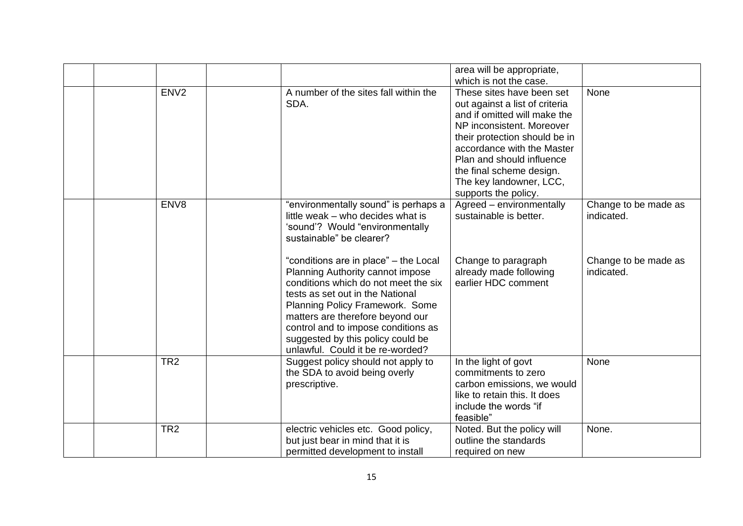|                  |                                       | area will be appropriate,      |                      |
|------------------|---------------------------------------|--------------------------------|----------------------|
|                  |                                       | which is not the case.         |                      |
| ENV <sub>2</sub> | A number of the sites fall within the | These sites have been set      | None                 |
|                  | SDA.                                  | out against a list of criteria |                      |
|                  |                                       | and if omitted will make the   |                      |
|                  |                                       | NP inconsistent. Moreover      |                      |
|                  |                                       | their protection should be in  |                      |
|                  |                                       | accordance with the Master     |                      |
|                  |                                       | Plan and should influence      |                      |
|                  |                                       | the final scheme design.       |                      |
|                  |                                       | The key landowner, LCC,        |                      |
|                  |                                       | supports the policy.           |                      |
| ENV8             | "environmentally sound" is perhaps a  | Agreed - environmentally       | Change to be made as |
|                  | little weak - who decides what is     | sustainable is better.         | indicated.           |
|                  | 'sound'? Would "environmentally       |                                |                      |
|                  | sustainable" be clearer?              |                                |                      |
|                  |                                       |                                |                      |
|                  | "conditions are in place" - the Local | Change to paragraph            | Change to be made as |
|                  | Planning Authority cannot impose      | already made following         | indicated.           |
|                  | conditions which do not meet the six  | earlier HDC comment            |                      |
|                  | tests as set out in the National      |                                |                      |
|                  | Planning Policy Framework. Some       |                                |                      |
|                  | matters are therefore beyond our      |                                |                      |
|                  | control and to impose conditions as   |                                |                      |
|                  | suggested by this policy could be     |                                |                      |
|                  | unlawful. Could it be re-worded?      |                                |                      |
| TR <sub>2</sub>  | Suggest policy should not apply to    | In the light of govt           | None                 |
|                  | the SDA to avoid being overly         | commitments to zero            |                      |
|                  | prescriptive.                         | carbon emissions, we would     |                      |
|                  |                                       | like to retain this. It does   |                      |
|                  |                                       | include the words "if          |                      |
|                  |                                       | feasible"                      |                      |
| TR <sub>2</sub>  | electric vehicles etc. Good policy,   | Noted. But the policy will     | None.                |
|                  | but just bear in mind that it is      | outline the standards          |                      |
|                  | permitted development to install      | required on new                |                      |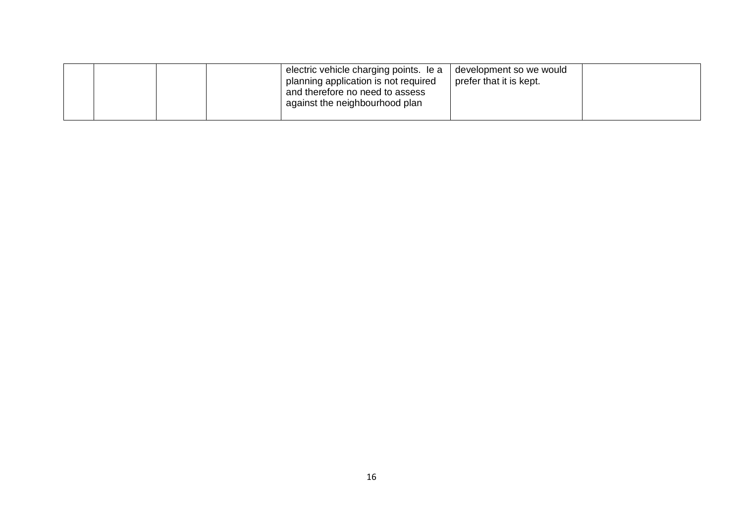|  | electric vehicle charging points. le a<br>planning application is not required<br>and therefore no need to assess<br>against the neighbourhood plan | development so we would<br>prefer that it is kept. |  |
|--|-----------------------------------------------------------------------------------------------------------------------------------------------------|----------------------------------------------------|--|
|--|-----------------------------------------------------------------------------------------------------------------------------------------------------|----------------------------------------------------|--|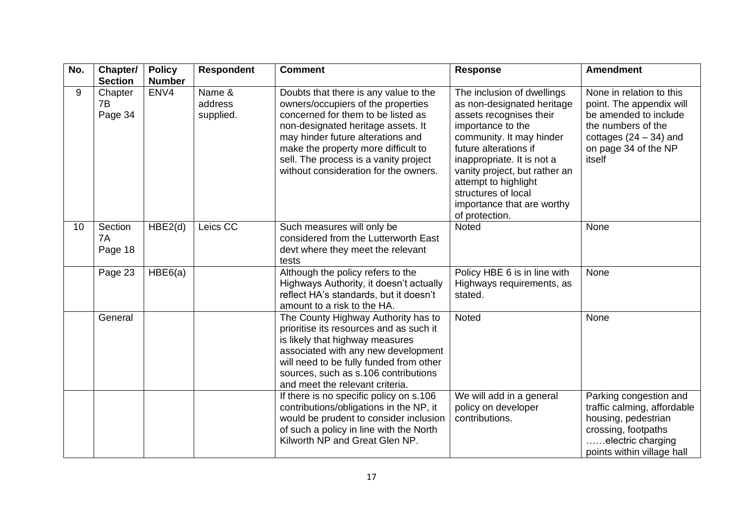| No. | Chapter/<br><b>Section</b> | <b>Policy</b><br><b>Number</b> | <b>Respondent</b>              | <b>Comment</b>                                                                                                                                                                                                                                                                                                        | <b>Response</b>                                                                                                                                                                                                                                                                                                             | <b>Amendment</b>                                                                                                                                                  |
|-----|----------------------------|--------------------------------|--------------------------------|-----------------------------------------------------------------------------------------------------------------------------------------------------------------------------------------------------------------------------------------------------------------------------------------------------------------------|-----------------------------------------------------------------------------------------------------------------------------------------------------------------------------------------------------------------------------------------------------------------------------------------------------------------------------|-------------------------------------------------------------------------------------------------------------------------------------------------------------------|
| 9   | Chapter<br>7B<br>Page 34   | ENV4                           | Name &<br>address<br>supplied. | Doubts that there is any value to the<br>owners/occupiers of the properties<br>concerned for them to be listed as<br>non-designated heritage assets. It<br>may hinder future alterations and<br>make the property more difficult to<br>sell. The process is a vanity project<br>without consideration for the owners. | The inclusion of dwellings<br>as non-designated heritage<br>assets recognises their<br>importance to the<br>community. It may hinder<br>future alterations if<br>inappropriate. It is not a<br>vanity project, but rather an<br>attempt to highlight<br>structures of local<br>importance that are worthy<br>of protection. | None in relation to this<br>point. The appendix will<br>be amended to include<br>the numbers of the<br>cottages $(24 – 34)$ and<br>on page 34 of the NP<br>itself |
| 10  | Section<br>7A<br>Page 18   | HBE2(d)                        | Leics CC                       | Such measures will only be<br>considered from the Lutterworth East<br>devt where they meet the relevant<br>tests                                                                                                                                                                                                      | Noted                                                                                                                                                                                                                                                                                                                       | None                                                                                                                                                              |
|     | Page 23                    | HBE6(a)                        |                                | Although the policy refers to the<br>Highways Authority, it doesn't actually<br>reflect HA's standards, but it doesn't<br>amount to a risk to the HA.                                                                                                                                                                 | Policy HBE 6 is in line with<br>Highways requirements, as<br>stated.                                                                                                                                                                                                                                                        | None                                                                                                                                                              |
|     | General                    |                                |                                | The County Highway Authority has to<br>prioritise its resources and as such it<br>is likely that highway measures<br>associated with any new development<br>will need to be fully funded from other<br>sources, such as s.106 contributions<br>and meet the relevant criteria.                                        | Noted                                                                                                                                                                                                                                                                                                                       | None                                                                                                                                                              |
|     |                            |                                |                                | If there is no specific policy on s.106<br>contributions/obligations in the NP, it<br>would be prudent to consider inclusion<br>of such a policy in line with the North<br>Kilworth NP and Great Glen NP.                                                                                                             | We will add in a general<br>policy on developer<br>contributions.                                                                                                                                                                                                                                                           | Parking congestion and<br>traffic calming, affordable<br>housing, pedestrian<br>crossing, footpaths<br>electric charging<br>points within village hall            |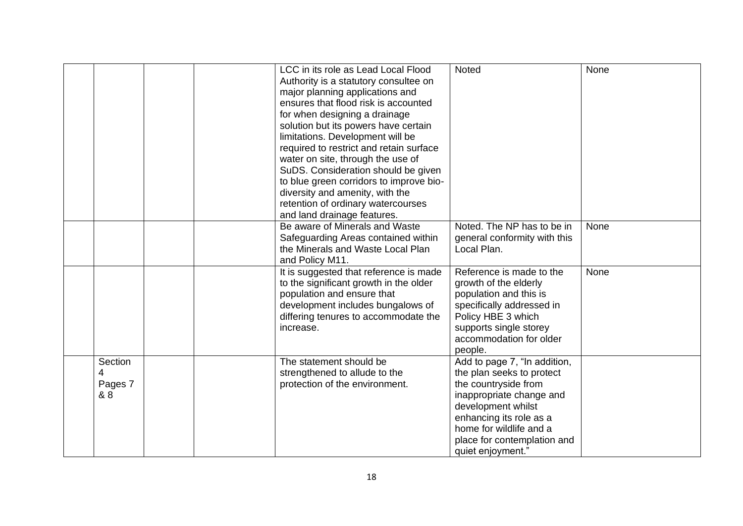|                                |  | LCC in its role as Lead Local Flood<br>Authority is a statutory consultee on<br>major planning applications and<br>ensures that flood risk is accounted<br>for when designing a drainage<br>solution but its powers have certain<br>limitations. Development will be<br>required to restrict and retain surface<br>water on site, through the use of<br>SuDS. Consideration should be given<br>to blue green corridors to improve bio-<br>diversity and amenity, with the<br>retention of ordinary watercourses<br>and land drainage features. | Noted                                                                                                                                                                                                                                         | None |
|--------------------------------|--|------------------------------------------------------------------------------------------------------------------------------------------------------------------------------------------------------------------------------------------------------------------------------------------------------------------------------------------------------------------------------------------------------------------------------------------------------------------------------------------------------------------------------------------------|-----------------------------------------------------------------------------------------------------------------------------------------------------------------------------------------------------------------------------------------------|------|
|                                |  | Be aware of Minerals and Waste                                                                                                                                                                                                                                                                                                                                                                                                                                                                                                                 | Noted. The NP has to be in                                                                                                                                                                                                                    | None |
|                                |  | Safeguarding Areas contained within                                                                                                                                                                                                                                                                                                                                                                                                                                                                                                            | general conformity with this                                                                                                                                                                                                                  |      |
|                                |  | the Minerals and Waste Local Plan                                                                                                                                                                                                                                                                                                                                                                                                                                                                                                              | Local Plan.                                                                                                                                                                                                                                   |      |
|                                |  | and Policy M11.                                                                                                                                                                                                                                                                                                                                                                                                                                                                                                                                |                                                                                                                                                                                                                                               |      |
|                                |  | It is suggested that reference is made<br>to the significant growth in the older<br>population and ensure that<br>development includes bungalows of<br>differing tenures to accommodate the<br>increase.                                                                                                                                                                                                                                                                                                                                       | Reference is made to the<br>growth of the elderly<br>population and this is<br>specifically addressed in<br>Policy HBE 3 which<br>supports single storey<br>accommodation for older<br>people.                                                | None |
| Section<br>4<br>Pages 7<br>& 8 |  | The statement should be<br>strengthened to allude to the<br>protection of the environment.                                                                                                                                                                                                                                                                                                                                                                                                                                                     | Add to page 7, "In addition,<br>the plan seeks to protect<br>the countryside from<br>inappropriate change and<br>development whilst<br>enhancing its role as a<br>home for wildlife and a<br>place for contemplation and<br>quiet enjoyment." |      |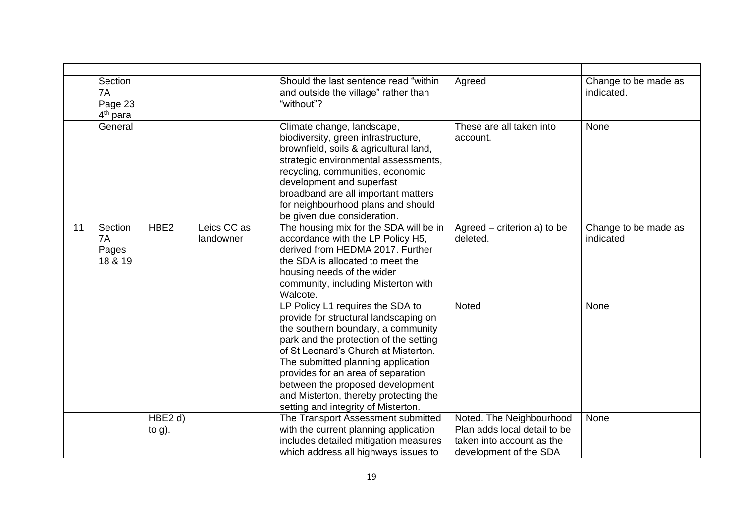|    | Section<br>7A<br>Page 23<br>4 <sup>th</sup> para |                                  |                          | Should the last sentence read "within<br>and outside the village" rather than<br>"without"?                                                                                                                                                                                                                                                                                                       | Agreed                                                                                                          | Change to be made as<br>indicated. |
|----|--------------------------------------------------|----------------------------------|--------------------------|---------------------------------------------------------------------------------------------------------------------------------------------------------------------------------------------------------------------------------------------------------------------------------------------------------------------------------------------------------------------------------------------------|-----------------------------------------------------------------------------------------------------------------|------------------------------------|
|    | General                                          |                                  |                          | Climate change, landscape,<br>biodiversity, green infrastructure,<br>brownfield, soils & agricultural land,<br>strategic environmental assessments,<br>recycling, communities, economic<br>development and superfast<br>broadband are all important matters<br>for neighbourhood plans and should<br>be given due consideration.                                                                  | These are all taken into<br>account.                                                                            | None                               |
| 11 | Section<br>7A<br>Pages<br>18 & 19                | HBE <sub>2</sub>                 | Leics CC as<br>landowner | The housing mix for the SDA will be in<br>accordance with the LP Policy H5,<br>derived from HEDMA 2017. Further<br>the SDA is allocated to meet the<br>housing needs of the wider<br>community, including Misterton with<br>Walcote.                                                                                                                                                              | Agreed – criterion a) to be<br>deleted.                                                                         | Change to be made as<br>indicated  |
|    |                                                  |                                  |                          | LP Policy L1 requires the SDA to<br>provide for structural landscaping on<br>the southern boundary, a community<br>park and the protection of the setting<br>of St Leonard's Church at Misterton.<br>The submitted planning application<br>provides for an area of separation<br>between the proposed development<br>and Misterton, thereby protecting the<br>setting and integrity of Misterton. | Noted                                                                                                           | None                               |
|    |                                                  | HBE <sub>2</sub> d)<br>to $g$ ). |                          | The Transport Assessment submitted<br>with the current planning application<br>includes detailed mitigation measures<br>which address all highways issues to                                                                                                                                                                                                                                      | Noted. The Neighbourhood<br>Plan adds local detail to be<br>taken into account as the<br>development of the SDA | None                               |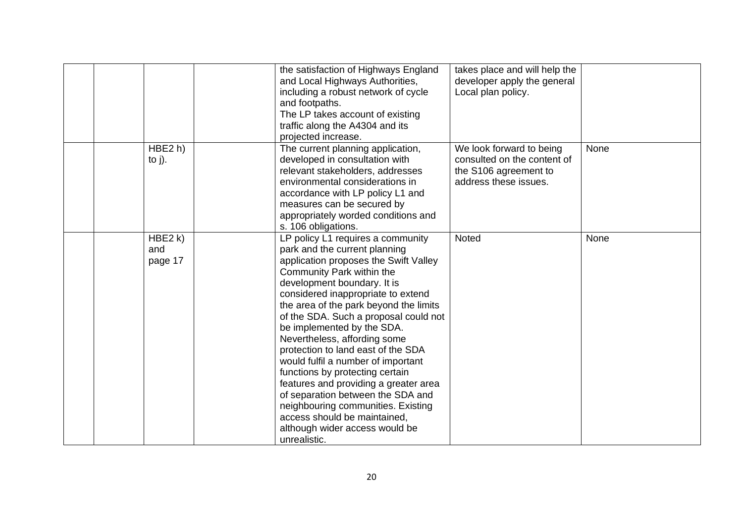|                           | the satisfaction of Highways England<br>and Local Highways Authorities,<br>including a robust network of cycle<br>and footpaths.<br>The LP takes account of existing<br>traffic along the A4304 and its<br>projected increase.                                                                                                                                                                                                                                                                                                                                                                                                                                                      | takes place and will help the<br>developer apply the general<br>Local plan policy.                        |      |
|---------------------------|-------------------------------------------------------------------------------------------------------------------------------------------------------------------------------------------------------------------------------------------------------------------------------------------------------------------------------------------------------------------------------------------------------------------------------------------------------------------------------------------------------------------------------------------------------------------------------------------------------------------------------------------------------------------------------------|-----------------------------------------------------------------------------------------------------------|------|
| HBE2 h)<br>to $j$ ).      | The current planning application,<br>developed in consultation with<br>relevant stakeholders, addresses<br>environmental considerations in<br>accordance with LP policy L1 and<br>measures can be secured by<br>appropriately worded conditions and<br>s. 106 obligations.                                                                                                                                                                                                                                                                                                                                                                                                          | We look forward to being<br>consulted on the content of<br>the S106 agreement to<br>address these issues. | None |
| HBE2 k)<br>and<br>page 17 | LP policy L1 requires a community<br>park and the current planning<br>application proposes the Swift Valley<br>Community Park within the<br>development boundary. It is<br>considered inappropriate to extend<br>the area of the park beyond the limits<br>of the SDA. Such a proposal could not<br>be implemented by the SDA.<br>Nevertheless, affording some<br>protection to land east of the SDA<br>would fulfil a number of important<br>functions by protecting certain<br>features and providing a greater area<br>of separation between the SDA and<br>neighbouring communities. Existing<br>access should be maintained,<br>although wider access would be<br>unrealistic. | Noted                                                                                                     | None |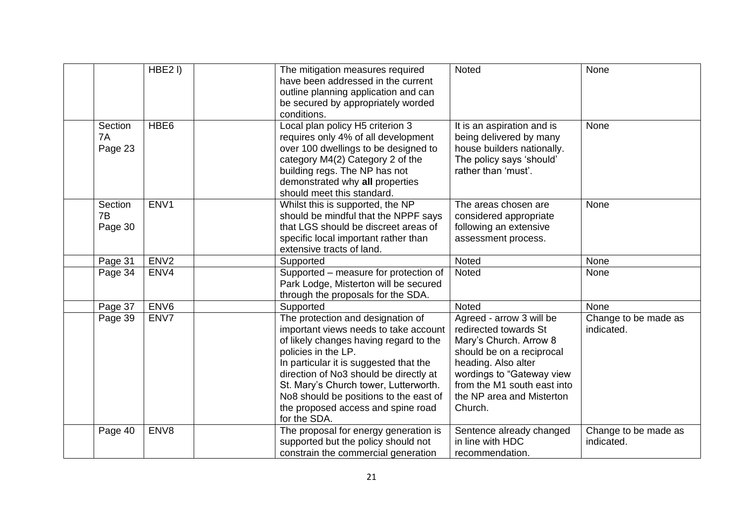|                          | HBE <sub>2I</sub> ) | The mitigation measures required<br>have been addressed in the current<br>outline planning application and can<br>be secured by appropriately worded<br>conditions.                                                                                                                                                                                                      | <b>Noted</b>                                                                                                                                                                                                                        | None                               |
|--------------------------|---------------------|--------------------------------------------------------------------------------------------------------------------------------------------------------------------------------------------------------------------------------------------------------------------------------------------------------------------------------------------------------------------------|-------------------------------------------------------------------------------------------------------------------------------------------------------------------------------------------------------------------------------------|------------------------------------|
| Section<br>7A<br>Page 23 | HBE <sub>6</sub>    | Local plan policy H5 criterion 3<br>requires only 4% of all development<br>over 100 dwellings to be designed to<br>category M4(2) Category 2 of the<br>building regs. The NP has not<br>demonstrated why all properties<br>should meet this standard.                                                                                                                    | It is an aspiration and is<br>being delivered by many<br>house builders nationally.<br>The policy says 'should'<br>rather than 'must'.                                                                                              | None                               |
| Section<br>7B<br>Page 30 | ENV1                | Whilst this is supported, the NP<br>should be mindful that the NPPF says<br>that LGS should be discreet areas of<br>specific local important rather than<br>extensive tracts of land.                                                                                                                                                                                    | The areas chosen are<br>considered appropriate<br>following an extensive<br>assessment process.                                                                                                                                     | None                               |
| Page 31                  | ENV <sub>2</sub>    | Supported                                                                                                                                                                                                                                                                                                                                                                | <b>Noted</b>                                                                                                                                                                                                                        | None                               |
| Page 34                  | ENV4                | Supported - measure for protection of<br>Park Lodge, Misterton will be secured<br>through the proposals for the SDA.                                                                                                                                                                                                                                                     | Noted                                                                                                                                                                                                                               | None                               |
| Page 37                  | ENV <sub>6</sub>    | Supported                                                                                                                                                                                                                                                                                                                                                                | <b>Noted</b>                                                                                                                                                                                                                        | None                               |
| Page 39                  | ENV7                | The protection and designation of<br>important views needs to take account<br>of likely changes having regard to the<br>policies in the LP.<br>In particular it is suggested that the<br>direction of No3 should be directly at<br>St. Mary's Church tower, Lutterworth.<br>No8 should be positions to the east of<br>the proposed access and spine road<br>for the SDA. | Agreed - arrow 3 will be<br>redirected towards St<br>Mary's Church. Arrow 8<br>should be on a reciprocal<br>heading. Also alter<br>wordings to "Gateway view<br>from the M1 south east into<br>the NP area and Misterton<br>Church. | Change to be made as<br>indicated. |
| Page 40                  | ENV8                | The proposal for energy generation is<br>supported but the policy should not<br>constrain the commercial generation                                                                                                                                                                                                                                                      | Sentence already changed<br>in line with HDC<br>recommendation.                                                                                                                                                                     | Change to be made as<br>indicated. |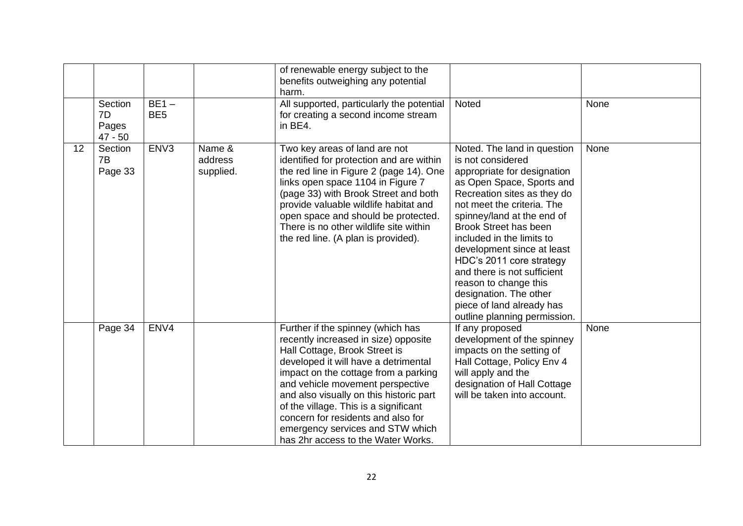|    | Section<br>7D            | $BE1 -$<br>BE <sub>5</sub> |                                | of renewable energy subject to the<br>benefits outweighing any potential<br>harm.<br>All supported, particularly the potential<br>for creating a second income stream                                                                                                                                                                                                                                                              | Noted                                                                                                                                                                                                                                                                                                                                                                                                                                                                         | None |
|----|--------------------------|----------------------------|--------------------------------|------------------------------------------------------------------------------------------------------------------------------------------------------------------------------------------------------------------------------------------------------------------------------------------------------------------------------------------------------------------------------------------------------------------------------------|-------------------------------------------------------------------------------------------------------------------------------------------------------------------------------------------------------------------------------------------------------------------------------------------------------------------------------------------------------------------------------------------------------------------------------------------------------------------------------|------|
|    | Pages<br>$47 - 50$       |                            |                                | in BE4.                                                                                                                                                                                                                                                                                                                                                                                                                            |                                                                                                                                                                                                                                                                                                                                                                                                                                                                               |      |
| 12 | Section<br>7B<br>Page 33 | ENV <sub>3</sub>           | Name &<br>address<br>supplied. | Two key areas of land are not<br>identified for protection and are within<br>the red line in Figure 2 (page 14). One<br>links open space 1104 in Figure 7<br>(page 33) with Brook Street and both<br>provide valuable wildlife habitat and<br>open space and should be protected.<br>There is no other wildlife site within<br>the red line. (A plan is provided).                                                                 | Noted. The land in question<br>is not considered<br>appropriate for designation<br>as Open Space, Sports and<br>Recreation sites as they do<br>not meet the criteria. The<br>spinney/land at the end of<br><b>Brook Street has been</b><br>included in the limits to<br>development since at least<br>HDC's 2011 core strategy<br>and there is not sufficient<br>reason to change this<br>designation. The other<br>piece of land already has<br>outline planning permission. | None |
|    | Page 34                  | ENV4                       |                                | Further if the spinney (which has<br>recently increased in size) opposite<br>Hall Cottage, Brook Street is<br>developed it will have a detrimental<br>impact on the cottage from a parking<br>and vehicle movement perspective<br>and also visually on this historic part<br>of the village. This is a significant<br>concern for residents and also for<br>emergency services and STW which<br>has 2hr access to the Water Works. | If any proposed<br>development of the spinney<br>impacts on the setting of<br>Hall Cottage, Policy Env 4<br>will apply and the<br>designation of Hall Cottage<br>will be taken into account.                                                                                                                                                                                                                                                                                  | None |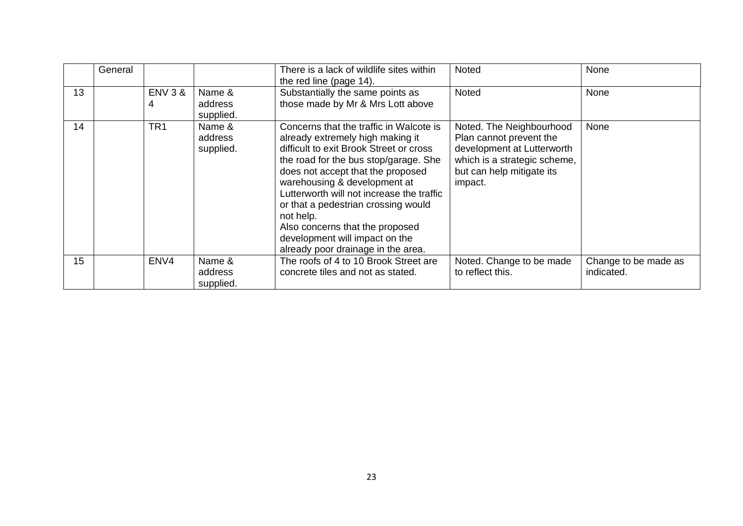|    | General |                         |                                | There is a lack of wildlife sites within<br>the red line (page 14).                                                                                                                                                                                                                                                                                                                                                                              | Noted                                                                                                                                                     | None                               |
|----|---------|-------------------------|--------------------------------|--------------------------------------------------------------------------------------------------------------------------------------------------------------------------------------------------------------------------------------------------------------------------------------------------------------------------------------------------------------------------------------------------------------------------------------------------|-----------------------------------------------------------------------------------------------------------------------------------------------------------|------------------------------------|
| 13 |         | <b>ENV 3 &amp;</b><br>4 | Name &<br>address<br>supplied. | Substantially the same points as<br>those made by Mr & Mrs Lott above                                                                                                                                                                                                                                                                                                                                                                            | Noted                                                                                                                                                     | None                               |
| 14 |         | TR <sub>1</sub>         | Name &<br>address<br>supplied. | Concerns that the traffic in Walcote is<br>already extremely high making it<br>difficult to exit Brook Street or cross<br>the road for the bus stop/garage. She<br>does not accept that the proposed<br>warehousing & development at<br>Lutterworth will not increase the traffic<br>or that a pedestrian crossing would<br>not help.<br>Also concerns that the proposed<br>development will impact on the<br>already poor drainage in the area. | Noted. The Neighbourhood<br>Plan cannot prevent the<br>development at Lutterworth<br>which is a strategic scheme,<br>but can help mitigate its<br>impact. | None                               |
| 15 |         | ENV4                    | Name &<br>address<br>supplied. | The roofs of 4 to 10 Brook Street are<br>concrete tiles and not as stated.                                                                                                                                                                                                                                                                                                                                                                       | Noted. Change to be made<br>to reflect this.                                                                                                              | Change to be made as<br>indicated. |